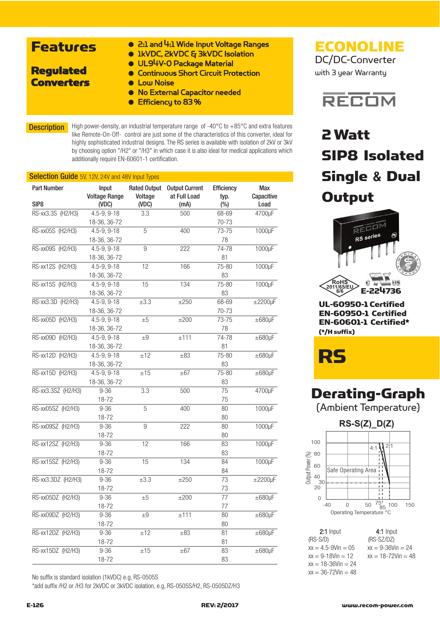### Features

● 2:1 and 4:1 Wide Input Voltage Ranges

### ● 1kVDC, 2kVDC & 3kVDC Isolation

- UL94V-O Package Material
- Continuous Short Circuit Protection ● Low Noise

### Regulated **Converters**

- No External Capacitor needed
- Efficiencu to 83%

**Description** High power-density, an industrial temperature range of -40°C to +85°C and extra features like Remote-On-Off- control are just some of the characteristics of this converter, ideal for highly sophisticated industrial designs. The RS series is available with isolation of 2kV or 3kV by choosing option "/H2" or "/H3" in which case it is also ideal for medical applications which additionally require EN-60601-1 certification.

| <b>Part Number</b><br><b>Rated Output</b><br><b>Output Current</b><br>Input<br><b>Efficiency</b> |                      |           |              |       |                   |  |
|--------------------------------------------------------------------------------------------------|----------------------|-----------|--------------|-------|-------------------|--|
|                                                                                                  | <b>Voltage Range</b> | Voltage   | at Full Load | typ.  | Max<br>Capacitive |  |
| SIP8                                                                                             | (VDC)                | (VDC)     | (mA)         | (%)   | Load              |  |
| RS-xx3.3S (H2/H3)                                                                                | 4.5-9, 9-18          | 3.3       | 500          | 68-69 | 4700µF            |  |
|                                                                                                  | 18-36, 36-72         |           |              | 70-73 |                   |  |
| RS-xx05S (H2/H3)                                                                                 | 4.5-9, 9-18          | 5         | 400          | 73-75 | 1000µF            |  |
|                                                                                                  | 18-36, 36-72         |           |              | 78    |                   |  |
| RS-xx09S (H2/H3)                                                                                 | 4.5-9, 9-18          | 9         | 222          | 74-78 | 1000µF            |  |
|                                                                                                  | 18-36, 36-72         |           |              | 81    |                   |  |
| RS-xx12S (H2/H3)                                                                                 | 4.5-9, 9-18          | 12        | 166          | 75-80 | 1000µF            |  |
|                                                                                                  | 18-36, 36-72         |           |              | 83    |                   |  |
| RS-xx15S (H2/H3)                                                                                 | 4.5-9, 9-18          | 15        | 134          | 75-80 | 1000µF            |  |
|                                                                                                  | 18-36, 36-72         |           |              | 83    |                   |  |
| RS-xx3.3D (H2/H3)                                                                                | 4.5-9, 9-18          | $\pm 3.3$ | ±250         | 68-69 | $\pm 2200 \mu F$  |  |
|                                                                                                  | 18-36, 36-72         |           |              | 70-73 |                   |  |
| RS-xx05D (H2/H3)                                                                                 | 4.5-9, 9-18          | $\pm 5$   | ±200         | 73-75 | $\pm 680 \mu F$   |  |
|                                                                                                  | 18-36, 36-72         |           |              | 78    |                   |  |
| RS-xx09D (H2/H3)                                                                                 | 4.5-9, 9-18          | $\pm 9$   | ±111         | 74-78 | $\pm 680$ µF      |  |
|                                                                                                  | 18-36, 36-72         |           |              | 81    |                   |  |
| RS-xx12D (H2/H3)                                                                                 | 4.5-9, 9-18          | ±12       | $\pm 83$     | 75-80 | $\pm 680$ µF      |  |
|                                                                                                  | 18-36, 36-72         |           |              | 83    |                   |  |
| RS-xx15D (H2/H3)                                                                                 | 4.5-9, 9-18          | ±15       | $\pm 67$     | 75-80 | $\pm 680$ µF      |  |
|                                                                                                  | 18-36, 36-72         |           |              | 83    |                   |  |
| RS-xx3.3SZ (H2/H3)                                                                               | $9 - 36$             | 3.3       | 500          | 75    | 4700µF            |  |
|                                                                                                  | 18-72                |           |              | 75    |                   |  |
| RS-xx05SZ (H2/H3)                                                                                | $9 - 36$             | 5         | 400          | 80    | 1000µF            |  |
|                                                                                                  | 18-72                |           |              | 80    |                   |  |
| RS-xx09SZ (H2/H3)                                                                                | $9 - 36$             | 9         | 222          | 80    | 1000µF            |  |
|                                                                                                  | 18-72                |           |              | 80    |                   |  |
| RS-xx12SZ (H2/H3)                                                                                | $9 - 36$             | 12        | 166          | 83    | 1000µF            |  |
|                                                                                                  | 18-72                |           |              | 83    |                   |  |
| RS-xx15SZ (H2/H3)                                                                                | $9 - 36$             | 15        | 134          | 84    | 1000µF            |  |
|                                                                                                  | 18-72                |           |              | 84    |                   |  |
| RS-xx3.3DZ (H2/H3)                                                                               | $9 - 36$             | $\pm 3.3$ | $\pm 250$    | 73    | $\pm 2200 \mu F$  |  |
|                                                                                                  | 18-72                |           |              | 73    |                   |  |
| RS-xx05DZ (H2/H3)                                                                                | $9 - 36$             | ±5        | ±200         | 77    | $\pm 680$ µF      |  |
|                                                                                                  | $18 - 72$            |           |              | 77    |                   |  |
| RS-xx09DZ (H2/H3)                                                                                | $9 - 36$             | $\pm 9$   | ±111         | 80    | $\pm 680 \mu F$   |  |
|                                                                                                  | 18-72                |           |              | 80    |                   |  |
| RS-xx12DZ (H2/H3)                                                                                | $9 - 36$             | ±12       | $\pm 83$     | 81    | $\pm 680 \mu F$   |  |
|                                                                                                  | 18-72                |           |              | 81    |                   |  |
| RS-xx15DZ (H2/H3)                                                                                | $9 - 36$             | ±15       | $\pm 67$     | 83    | $\pm 680 \mu F$   |  |
|                                                                                                  | 18-72                |           |              | 83    |                   |  |

No suffix is standard isolation (1kVDC) e.g, RS-0505S

\*add suffix /H2 or /H3 for 2kVDC or 3kVDC isolation, e.g, RS-0505S/H2, RS-0505DZ/H3

ECONOLINE DC/DC-Converter

with 3 year Warranty



# 2 Watt SIP8 Isolated Single **&** Dual **Output**



UL-60950-1 Certified EN-60950-1 Certified EN-60601-1 Certified\* (\*/H suffix)

RS

### Derating-Graph

(Ambient Temperature)

**RS-S(Z)\_D(Z)**



2:1 Input 4:1 Input (RS-S/D) (RS-SZ/DZ)  $xx = 4.5 - 9$ Vin = 05  $xx = 9 - 36$ Vin = 24<br> $xx = 9 - 18$ Vin = 12  $xx = 18 - 72$ Vin = 48  $xx = 18 - 36$ Vin = 24  $xx = 36 - 72$ Vin = 48

 $xx = 18 - 72$ Vin = 48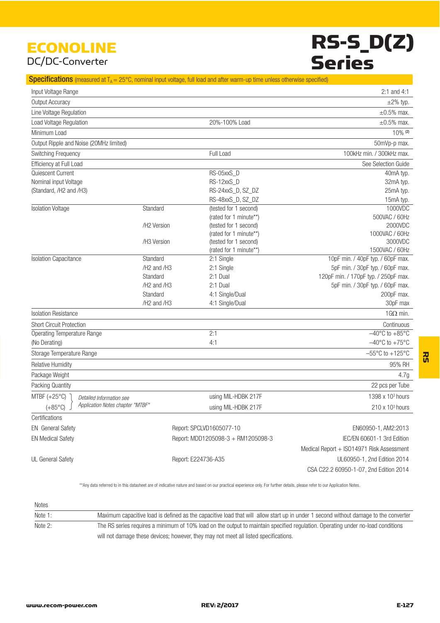### ECONOLINE DC/DC-Converter

# RS-S\_D(Z) **Series**

#### **Specifications** (measured at  $T_A = 25^{\circ}$ C, nominal input voltage, full load and after warm-up time unless otherwise specified)

| Input Voltage Range                                  |                                     |                                    | 2:1 and 4:1                               |
|------------------------------------------------------|-------------------------------------|------------------------------------|-------------------------------------------|
| Output Accuracy                                      |                                     |                                    | $\pm 2\%$ typ.                            |
| Line Voltage Regulation                              |                                     |                                    | $\pm 0.5\%$ max.                          |
| Load Voltage Regulation                              |                                     | 20%-100% Load                      | $\pm 0.5\%$ max.                          |
| Minimum Load                                         |                                     |                                    | $10\%$ (2)                                |
| Output Ripple and Noise (20MHz limited)              |                                     |                                    | 50mVp-p max.                              |
| Switching Frequency                                  |                                     | Full Load                          | 100kHz min. / 300kHz max.                 |
| Efficiency at Full Load                              |                                     |                                    | See Selection Guide                       |
| Quiescent Current                                    |                                     | RS-05xxS_D                         | 40mA typ.                                 |
| Nominal input Voltage                                |                                     | RS-12xxS_D                         | 32mA typ.                                 |
| (Standard, /H2 and /H3)                              |                                     | RS-24xxS_D, SZ_DZ                  | 25mA typ.                                 |
|                                                      |                                     | RS-48xxS_D, SZ_DZ                  | 15mA typ.                                 |
| <b>Isolation Voltage</b>                             | Standard                            | (tested for 1 second)              | 1000VDC                                   |
|                                                      |                                     | (rated for 1 minute**)             | 500VAC / 60Hz                             |
|                                                      | /H2 Version                         | (tested for 1 second)              | 2000VDC                                   |
|                                                      |                                     | (rated for 1 minute**)             | 1000VAC / 60Hz                            |
|                                                      | /H3 Version                         | (tested for 1 second)              | 3000VDC                                   |
|                                                      |                                     | (rated for 1 minute**)             | 1500VAC / 60Hz                            |
| <b>Isolation Capacitance</b>                         | Standard                            | 2:1 Single                         | 10pF min. / 40pF typ. / 60pF max.         |
|                                                      | /H <sub>2</sub> and /H <sub>3</sub> | 2:1 Single                         | 5pF min. / 30pF typ. / 60pF max.          |
|                                                      | Standard                            | 2:1 Dual                           | 120pF min. / 170pF typ. / 250pF max.      |
|                                                      | /H <sub>2</sub> and /H <sub>3</sub> | 2:1 Dual                           | 5pF min. / 30pF typ. / 60pF max.          |
|                                                      | Standard                            | 4:1 Single/Dual                    | 200pF max.                                |
|                                                      | /H2 and /H3                         | 4:1 Single/Dual                    | 30pF max                                  |
| <b>Isolation Resistance</b>                          |                                     |                                    | $1G\Omega$ min.                           |
| <b>Short Circuit Protection</b>                      |                                     |                                    | Continuous                                |
| Operating Temperature Range                          |                                     | 2:1                                | $-40^{\circ}$ C to $+85^{\circ}$ C        |
| (No Derating)                                        |                                     | 4:1                                | $-40^{\circ}$ C to $+75^{\circ}$ C        |
| Storage Temperature Range                            |                                     |                                    | $-55^{\circ}$ C to $+125^{\circ}$ C       |
| <b>Relative Humidity</b>                             |                                     |                                    | 95% RH                                    |
| Package Weight                                       |                                     |                                    | 4.7g                                      |
| Packing Quantity                                     |                                     |                                    | 22 pcs per Tube                           |
| MTBF $(+25^{\circ}C)$<br>Detailed Information see    |                                     | using MIL-HDBK 217F                | 1398 x 10 <sup>3</sup> hours              |
| Application Notes chapter "MTBF"<br>$(+85^{\circ}C)$ |                                     | using MIL-HDBK 217F                | $210 \times 10^3$ hours                   |
| Certifications                                       |                                     |                                    |                                           |
| <b>EN</b> General Safety                             |                                     | Report: SPCLVD1605077-10           | EN60950-1, AM2:2013                       |
| <b>EN Medical Safety</b>                             |                                     | Report: MDD1205098-3 + RM1205098-3 | IEC/EN 60601-1 3rd Edition                |
|                                                      |                                     |                                    | Medical Report + ISO14971 Risk Assessment |
| UL General Safety                                    |                                     | Report: E224736-A35                | UL60950-1, 2nd Edition 2014               |
|                                                      |                                     |                                    | CSA C22.2 60950-1-07, 2nd Edition 2014    |

\*\*Any data referred to in this datasheet are of indicative nature and based on our practical experience only. For further details, please refer to our Application Notes.

| Notes   |                                                                                                                                      |
|---------|--------------------------------------------------------------------------------------------------------------------------------------|
| Note 1: | Maximum capacitive load is defined as the capacitive load that will allow start up in under 1 second without damage to the converter |
| Note 2: | The RS series requires a minimum of 10% load on the output to maintain specified requlation. Operating under no-load conditions      |
|         | will not damage these devices: however, they may not meet all listed specifications.                                                 |

ices; however, they may not meet all listed sp